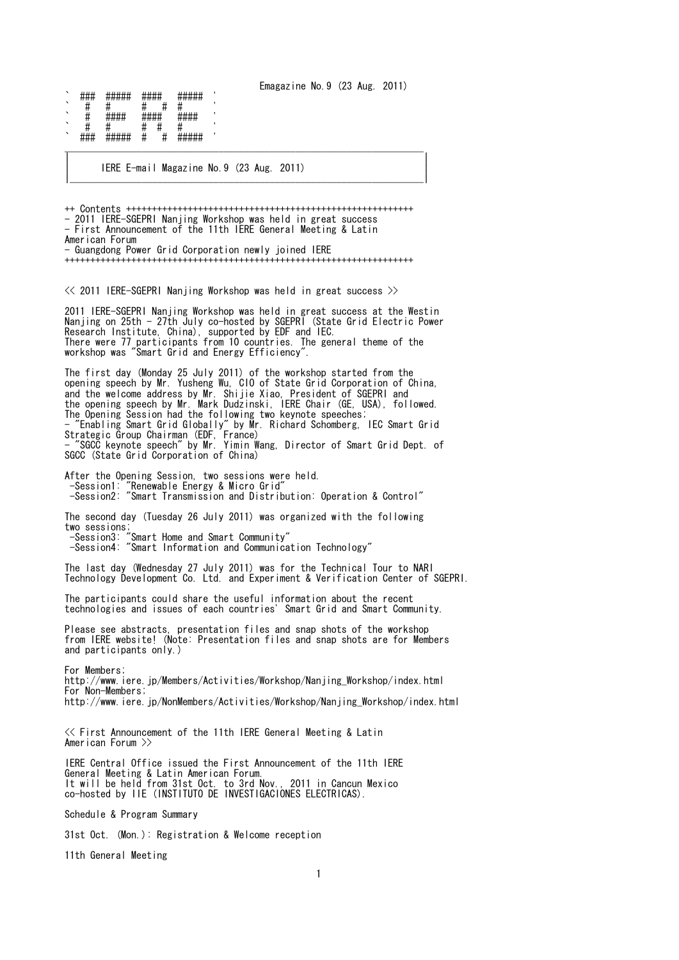Emagazine No.9 (23 Aug. 2011)

| ヽ       | ,, ,, ,,<br><del>****</del> | ,,,,,,,,,<br>#####                               | ,, ,, ,, ,,<br><b>unin</b><br><del>.</del> | ,, ,, ,, ,, ,,<br>#####                                |  |
|---------|-----------------------------|--------------------------------------------------|--------------------------------------------|--------------------------------------------------------|--|
| $\cdot$ | н                           |                                                  |                                            |                                                        |  |
| `       |                             | шшшш<br>777 <del>17</del> 77<br><del>*****</del> | шшшш<br>πππ π<br><del>.</del>              | шшш<br><b>###</b><br><del>*****</del>                  |  |
| ╮       |                             |                                                  |                                            |                                                        |  |
| $\cdot$ | ###                         | #####                                            | Ħ<br>π                                     | <b><i><u>ШШШШ</u></i></b><br>#####<br><del>*****</del> |  |
|         |                             |                                                  |                                            |                                                        |  |
|         |                             |                                                  |                                            |                                                        |  |

IERE E-mail Magazine No. 9 (23 Aug. 2011) |\_\_\_\_\_\_\_\_\_\_\_\_\_\_\_\_\_\_\_\_\_\_\_\_\_\_\_\_\_\_\_\_\_\_\_\_\_\_\_\_\_\_\_\_\_\_\_\_\_\_\_\_\_\_\_\_\_\_\_\_\_\_\_\_\_\_\_\_\_|

++ Contents ++++++++++++++++++++++++++++++++++++++++++++++++++++++++ - 2011 IERE-SGEPRI Nanjing Workshop was held in great success - First Announcement of the 11th IERE General Meeting & Latin American Forum - Guangdong Power Grid Corporation newly joined IERE ++++++++++++++++++++++++++++++++++++++++++++++++++++++++++++++++++++

 $\ll$  2011 IERE-SGEPRI Nanjing Workshop was held in great success  $\gg$ 

2011 IERE-SGEPRI Nanjing Workshop was held in great success at the Westin Nanjing on 25th - 27th July co-hosted by SGEPRI (State Grid Electric Power Research Institute, China), supported by EDF and IEC. There were 77 participants from 10 countries. The general theme of the workshop was "Smart Grid and Energy Efficiency".

The first day (Monday 25 July 2011) of the workshop started from the opening speech by Mr. Yusheng Wu, CIO of State Grid Corporation of China, and the welcome address by Mr. Shijie Xiao, President of SGEPRI and the opening speech by Mr. Mark Dudzinski, IERE Chair (GE, USA), followed. The Opening Session had the following two keynote speeches; - "Enabling Smart Grid Globally" by Mr. Richard Schomberg, IEC Smart Grid Strategic Group Chairman (EDF, France) - "SGCC keynote speech" by Mr. Yimin Wang, Director of Smart Grid Dept. of SGCC (State Grid Corporation of China)

After the Opening Session, two sessions were held. -Session1: "Renewable Energy & Micro Grid" -Session2: "Smart Transmission and Distribution: Operation & Control"

The second day (Tuesday 26 July 2011) was organized with the following two sessions; -Session3: "Smart Home and Smart Community"

-Session3: "Smart Home and Smart Community"<br>-Session4: "Smart Information and Communication Technology"

The last day (Wednesday 27 July 2011) was for the Technical Tour to NARI Technology Development Co. Ltd. and Experiment & Verification Center of SGEPRI.

The participants could share the useful information about the recent technologies and issues of each countries' Smart Grid and Smart Community.

Please see abstracts, presentation files and snap shots of the workshop from IERE website! (Note: Presentation files and snap shots are for Members and participants only.)

For Members; http://www.iere.jp/Members/Activities/Workshop/Nanjing\_Workshop/index.html For Non-Members; http://www.iere.jp/NonMembers/Activities/Workshop/Nanjing\_Workshop/index.html

<< First Announcement of the 11th IERE General Meeting & Latin American Forum >>

IERE Central Office issued the First Announcement of the 11th IERE General Meeting & Latin American Forum. It will be held from 31st Oct. to 3rd Nov., 2011 in Cancun Mexico co-hosted by IIE (INSTITUTO DE INVESTIGACIONES ELECTRICAS).

Schedule & Program Summary

31st Oct. (Mon.): Registration & Welcome reception

11th General Meeting